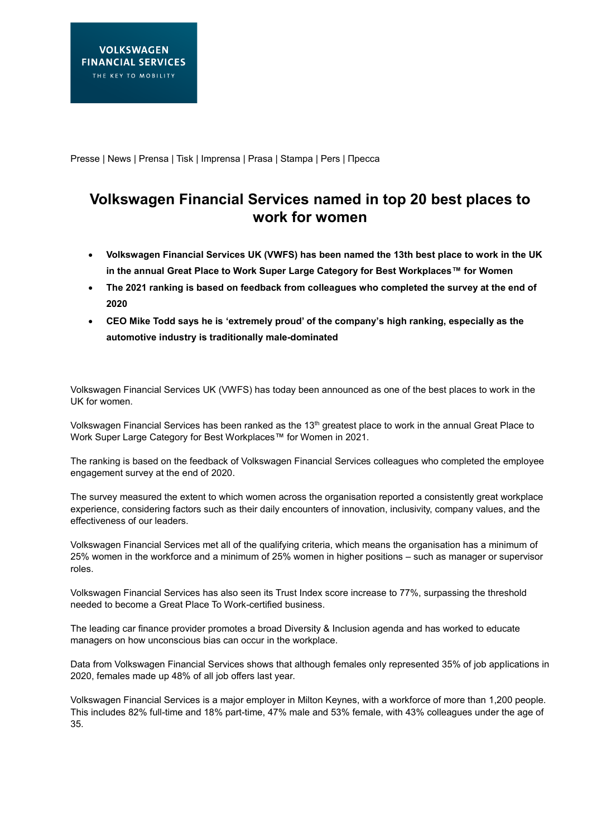Presse | News | Prensa | Tisk | Imprensa | Prasa | Stampa | Pers | Пресса

## **Volkswagen Financial Services named in top 20 best places to work for women**

- **Volkswagen Financial Services UK (VWFS) has been named the 13th best place to work in the UK in the annual Great Place to Work Super Large Category for Best Workplaces™ for Women**
- **The 2021 ranking is based on feedback from colleagues who completed the survey at the end of 2020**
- **CEO Mike Todd says he is 'extremely proud' of the company's high ranking, especially as the automotive industry is traditionally male-dominated**

Volkswagen Financial Services UK (VWFS) has today been announced as one of the best places to work in the UK for women.

Volkswagen Financial Services has been ranked as the 13<sup>th</sup> greatest place to work in the annual Great Place to Work Super Large Category for Best Workplaces™ for Women in 2021.

The ranking is based on the feedback of Volkswagen Financial Services colleagues who completed the employee engagement survey at the end of 2020.

The survey measured the extent to which women across the organisation reported a consistently great workplace experience, considering factors such as their daily encounters of innovation, inclusivity, company values, and the effectiveness of our leaders.

Volkswagen Financial Services met all of the qualifying criteria, which means the organisation has a minimum of 25% women in the workforce and a minimum of 25% women in higher positions – such as manager or supervisor roles.

Volkswagen Financial Services has also seen its Trust Index score increase to 77%, surpassing the threshold needed to become a Great Place To Work-certified business.

The leading car finance provider promotes a broad Diversity & Inclusion agenda and has worked to educate managers on how unconscious bias can occur in the workplace.

Data from Volkswagen Financial Services shows that although females only represented 35% of job applications in 2020, females made up 48% of all job offers last year.

Volkswagen Financial Services is a major employer in Milton Keynes, with a workforce of more than 1,200 people. This includes 82% full-time and 18% part-time, 47% male and 53% female, with 43% colleagues under the age of 35.